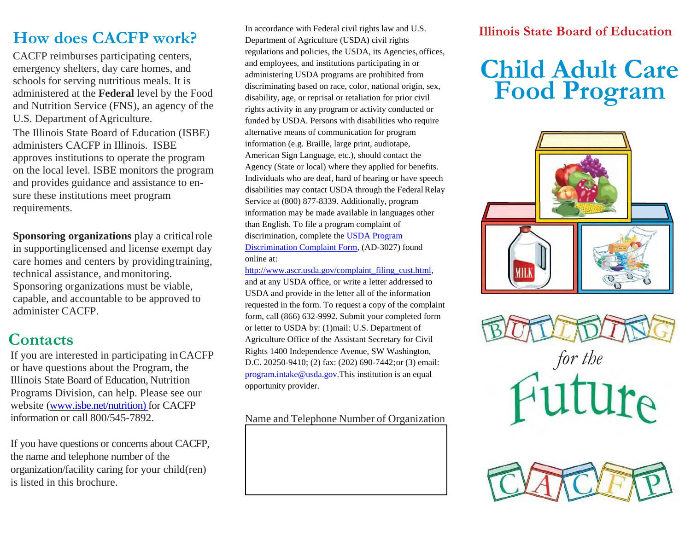# **How does CACFP work?**

CACFP reimburses participating centers, emergency shelters, day care homes, and schools for serving nutritious meals. It is administered at the **Federal** level by the Food and Nutrition Service (FNS), an agency of the U.S. Department of Agriculture. The Illinois State Board of Education (ISBE) administers CACFP in Illinois. ISBE approves institutions to operate the program on the local level. ISBE monitors the program and provides guidance and assistance to ensure these institutions meet program requirements.

**Sponsoring organizations** play a criticalrole in supportinglicensed and license exempt day care homes and centers by providing training, technical assistance, and monitoring. Sponsoring organizations must be viable, capable, and accountable to be approved to administer CACFP.

### **Contacts**

If you are interested in participating inCACFP or have questions about the Program, the Illinois State Board of Education, Nutrition Programs Division, can help. Please see our website [\(www.isbe.net/nutrition\) f](http://www.isbe.net/nutrition))or CACFP information or call 800/545-7892.

If you have questions or concerns about CACFP, the name and telephone number of the organization/facility caring for your child(ren) is listed in this brochure.

In accordance with Federal civil rights law and U.S. Department of Agriculture (USDA) civil rights regulations and policies, the USDA, its Agencies, offices, and employees, and institutions participating in or administering USDA programs are prohibited from discriminating based on race, color, national origin, sex, disability, age, or reprisal or retaliation for prior civil rights activity in any program or activity conducted or funded by USDA. Persons with disabilities who require alternative means of communication for program information (e.g. Braille, large print, audiotape, American Sign Language, etc.), should contact the Agency (State or local) where they applied for benefits. Individuals who are deaf, hard of hearing or have speech disabilities may contact USDA through the Federal Relay Service at (800) 877-8339. Additionally, program information may be made available in languages other than English. To file a program complaint of discrimination, complete th[e USDA Program](http://www.ocio.usda.gov/sites/default/files/docs/2012/Complain_combined_6_8_12.pdf) [Discrimination Complaint Form, \(](http://www.ocio.usda.gov/sites/default/files/docs/2012/Complain_combined_6_8_12.pdf)AD-3027) found online at:

[http://www.ascr.usda.gov/complaint\\_filing\\_cust.html,](http://www.ascr.usda.gov/complaint_filing_cust.html) and at any USDA office, or write a letter addressed to USDA and provide in the letter all of the information requested in the form. To request a copy of the complaint form, call (866) 632-9992. Submit your completed form or letter to USDA by: (1)mail: U.S. Department of Agriculture Office of the Assistant Secretary for Civil Rights 1400 Independence Avenue, SW Washington, D.C. 20250-9410; (2) fax: (202) 690-7442;or (3) email: [program.intake@usda.gov.This i](mailto:program.intake@usda.gov.This)nstitution is an equal opportunity provider.

#### Name and Telephone Number of Organization

### **Illinois State Board of Education**

# **Child Adult Care Food Program**